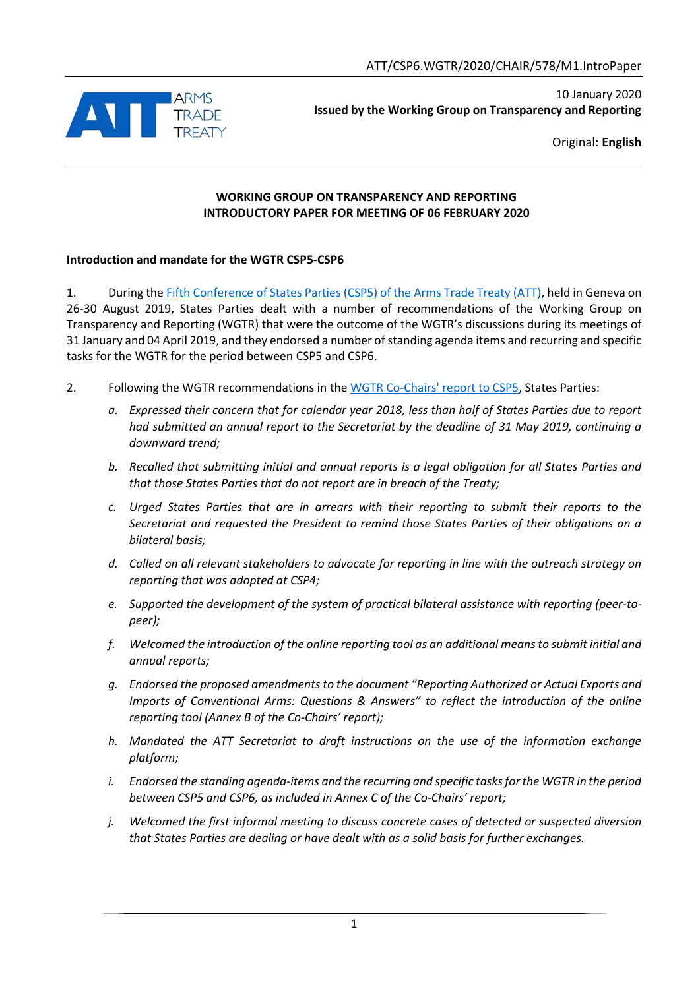

10 January 2020 **Issued by the Working Group on Transparency and Reporting**

Original: **English**

### **WORKING GROUP ON TRANSPARENCY AND REPORTING INTRODUCTORY PAPER FOR MEETING OF 06 FEBRUARY 2020**

## **Introduction and mandate for the WGTR CSP5-CSP6**

1. During th[e Fifth Conference of States Parties \(CSP5\) of the Arms Trade Treaty \(ATT\),](https://thearmstradetreaty.org/events-csp-5.html?templateId=1243365) held in Geneva on 26-30 August 2019, States Parties dealt with a number of recommendations of the Working Group on Transparency and Reporting (WGTR) that were the outcome of the WGTR's discussions during its meetings of 31 January and 04 April 2019, and they endorsed a number of standing agenda items and recurring and specific tasks for the WGTR for the period between CSP5 and CSP6.

- 2. Following the WGTR recommendations in the [WGTR Co-Chairs' report to CSP5,](https://thearmstradetreaty.org/hyper-images/file/ATT_WGTR_CSP5_Co-chair) States Parties:
	- *a. Expressed their concern that for calendar year 2018, less than half of States Parties due to report had submitted an annual report to the Secretariat by the deadline of 31 May 2019, continuing a downward trend;*
	- *b. Recalled that submitting initial and annual reports is a legal obligation for all States Parties and that those States Parties that do not report are in breach of the Treaty;*
	- *c. Urged States Parties that are in arrears with their reporting to submit their reports to the Secretariat and requested the President to remind those States Parties of their obligations on a bilateral basis;*
	- *d. Called on all relevant stakeholders to advocate for reporting in line with the outreach strategy on reporting that was adopted at CSP4;*
	- *e. Supported the development of the system of practical bilateral assistance with reporting (peer-topeer);*
	- *f. Welcomed the introduction of the online reporting tool as an additional means to submit initial and annual reports;*
	- *g. Endorsed the proposed amendments to the document "Reporting Authorized or Actual Exports and Imports of Conventional Arms: Questions & Answers" to reflect the introduction of the online reporting tool (Annex B of the Co-Chairs' report);*
	- *h. Mandated the ATT Secretariat to draft instructions on the use of the information exchange platform;*
	- *i. Endorsed the standing agenda-items and the recurring and specific tasks for the WGTR in the period between CSP5 and CSP6, as included in Annex C of the Co-Chairs' report;*
	- *j. Welcomed the first informal meeting to discuss concrete cases of detected or suspected diversion that States Parties are dealing or have dealt with as a solid basis for further exchanges.*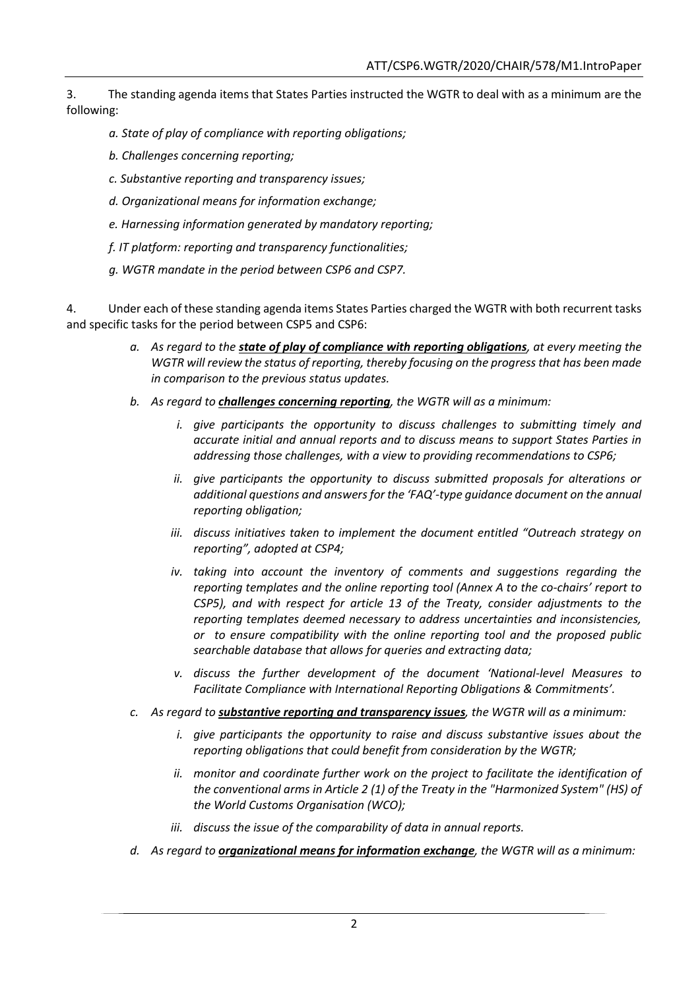3. The standing agenda items that States Parties instructed the WGTR to deal with as a minimum are the following:

- *a. State of play of compliance with reporting obligations;*
- *b. Challenges concerning reporting;*
- *c. Substantive reporting and transparency issues;*
- *d. Organizational means for information exchange;*
- *e. Harnessing information generated by mandatory reporting;*
- *f. IT platform: reporting and transparency functionalities;*
- *g. WGTR mandate in the period between CSP6 and CSP7.*

4. Under each of these standing agenda items States Parties charged the WGTR with both recurrent tasks and specific tasks for the period between CSP5 and CSP6:

- *a. As regard to the state of play of compliance with reporting obligations, at every meeting the WGTR will review the status of reporting, thereby focusing on the progress that has been made in comparison to the previous status updates.*
- *b. As regard to challenges concerning reporting, the WGTR will as a minimum:*
	- *i. give participants the opportunity to discuss challenges to submitting timely and accurate initial and annual reports and to discuss means to support States Parties in addressing those challenges, with a view to providing recommendations to CSP6;*
	- *ii. give participants the opportunity to discuss submitted proposals for alterations or additional questions and answers for the 'FAQ'-type guidance document on the annual reporting obligation;*
	- *iii. discuss initiatives taken to implement the document entitled "Outreach strategy on reporting", adopted at CSP4;*
	- *iv. taking into account the inventory of comments and suggestions regarding the reporting templates and the online reporting tool (Annex A to the co-chairs' report to CSP5), and with respect for article 13 of the Treaty, consider adjustments to the reporting templates deemed necessary to address uncertainties and inconsistencies, or to ensure compatibility with the online reporting tool and the proposed public searchable database that allows for queries and extracting data;*
	- *v. discuss the further development of the document 'National-level Measures to Facilitate Compliance with International Reporting Obligations & Commitments'.*
- *c. As regard to substantive reporting and transparency issues, the WGTR will as a minimum:*
	- *i. give participants the opportunity to raise and discuss substantive issues about the reporting obligations that could benefit from consideration by the WGTR;*
	- *ii. monitor and coordinate further work on the project to facilitate the identification of the conventional arms in Article 2 (1) of the Treaty in the "Harmonized System" (HS) of the World Customs Organisation (WCO);*
	- *iii. discuss the issue of the comparability of data in annual reports.*
- *d. As regard to organizational means for information exchange, the WGTR will as a minimum:*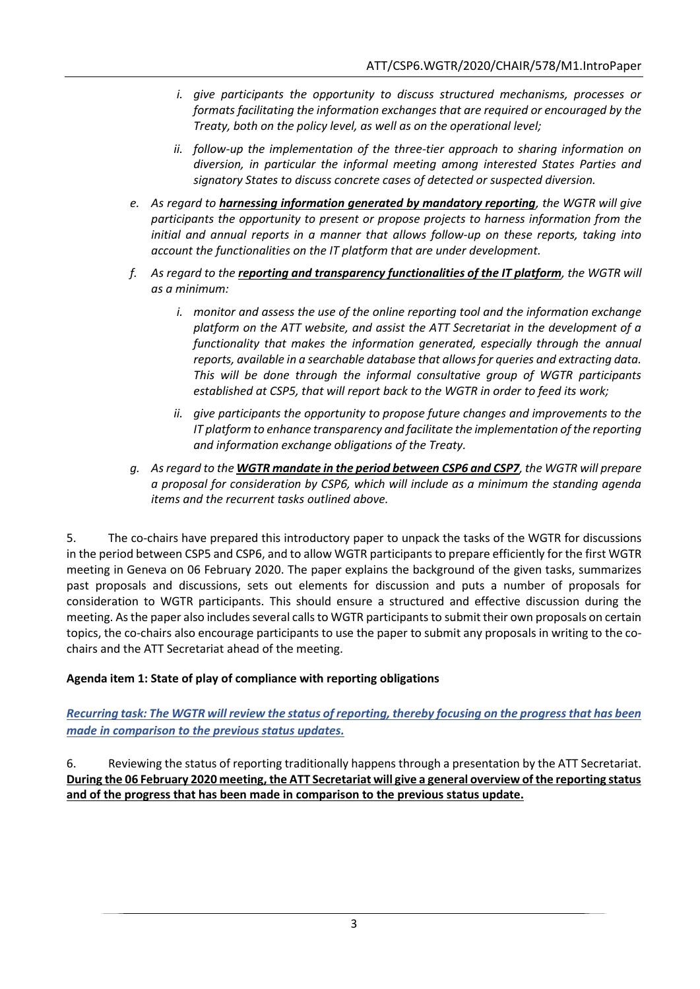- *i. give participants the opportunity to discuss structured mechanisms, processes or formats facilitating the information exchanges that are required or encouraged by the Treaty, both on the policy level, as well as on the operational level;*
- *ii. follow-up the implementation of the three-tier approach to sharing information on diversion, in particular the informal meeting among interested States Parties and signatory States to discuss concrete cases of detected or suspected diversion.*
- *e. As regard to harnessing information generated by mandatory reporting, the WGTR will give participants the opportunity to present or propose projects to harness information from the initial and annual reports in a manner that allows follow-up on these reports, taking into account the functionalities on the IT platform that are under development.*
- *f. As regard to the reporting and transparency functionalities of the IT platform, the WGTR will as a minimum:*
	- *i. monitor and assess the use of the online reporting tool and the information exchange platform on the ATT website, and assist the ATT Secretariat in the development of a functionality that makes the information generated, especially through the annual reports, available in a searchable database that allows for queries and extracting data. This will be done through the informal consultative group of WGTR participants established at CSP5, that will report back to the WGTR in order to feed its work;*
	- *ii. give participants the opportunity to propose future changes and improvements to the IT platform to enhance transparency and facilitate the implementation of the reporting and information exchange obligations of the Treaty.*
- *g. As regard to the WGTR mandate in the period between CSP6 and CSP7, the WGTR will prepare a proposal for consideration by CSP6, which will include as a minimum the standing agenda items and the recurrent tasks outlined above.*

5. The co-chairs have prepared this introductory paper to unpack the tasks of the WGTR for discussions in the period between CSP5 and CSP6, and to allow WGTR participants to prepare efficiently for the first WGTR meeting in Geneva on 06 February 2020. The paper explains the background of the given tasks, summarizes past proposals and discussions, sets out elements for discussion and puts a number of proposals for consideration to WGTR participants. This should ensure a structured and effective discussion during the meeting. As the paper also includes several calls to WGTR participants to submit their own proposals on certain topics, the co-chairs also encourage participants to use the paper to submit any proposals in writing to the cochairs and the ATT Secretariat ahead of the meeting.

# **Agenda item 1: State of play of compliance with reporting obligations**

*Recurring task: The WGTR will review the status of reporting, thereby focusing on the progress that has been made in comparison to the previous status updates.*

6. Reviewing the status of reporting traditionally happens through a presentation by the ATT Secretariat. **During the 06 February 2020 meeting, the ATT Secretariat will give a general overview of the reporting status and of the progress that has been made in comparison to the previous status update.**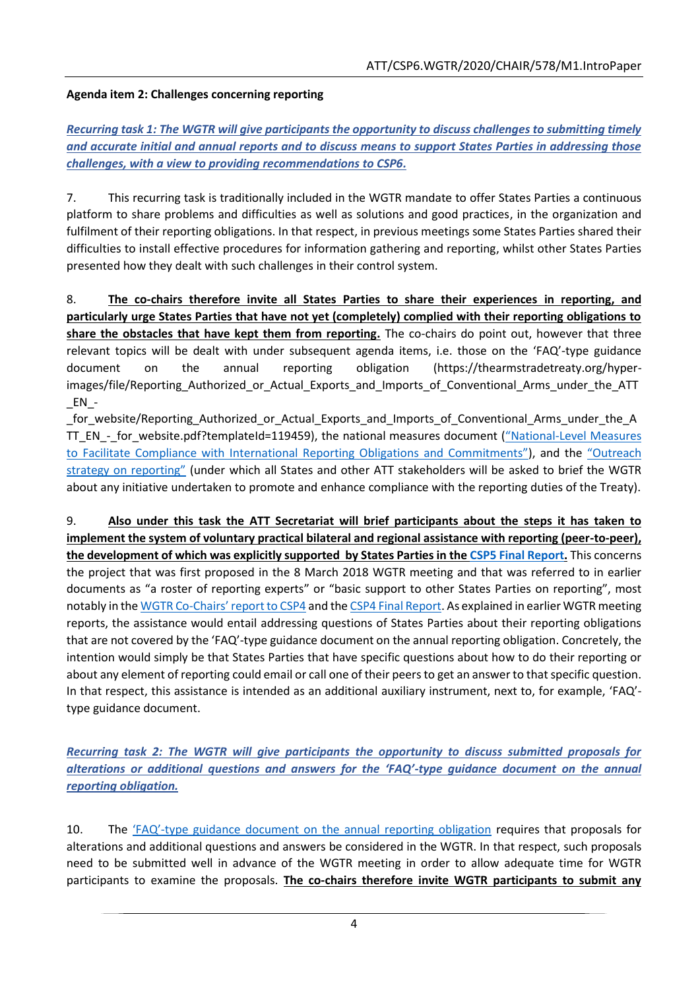## **Agenda item 2: Challenges concerning reporting**

*Recurring task 1: The WGTR will give participants the opportunity to discuss challenges to submitting timely and accurate initial and annual reports and to discuss means to support States Parties in addressing those challenges, with a view to providing recommendations to CSP6.*

7. This recurring task is traditionally included in the WGTR mandate to offer States Parties a continuous platform to share problems and difficulties as well as solutions and good practices, in the organization and fulfilment of their reporting obligations. In that respect, in previous meetings some States Parties shared their difficulties to install effective procedures for information gathering and reporting, whilst other States Parties presented how they dealt with such challenges in their control system.

8. **The co-chairs therefore invite all States Parties to share their experiences in reporting, and particularly urge States Parties that have not yet (completely) complied with their reporting obligations to share the obstacles that have kept them from reporting.** The co-chairs do point out, however that three relevant topics will be dealt with under subsequent agenda items, i.e. those on the 'FAQ'-type guidance document on the annual reporting obligation (https://thearmstradetreaty.org/hyperimages/file/Reporting Authorized or Actual Exports and Imports of Conventional Arms under the ATT  $EN_$ 

for website/Reporting Authorized or Actual Exports and Imports of Conventional Arms under the A TT\_EN\_-\_for\_website.pdf?templateId=119459), the national measures document ("National-Level Measures [to Facilitate Compliance with International Rep](https://thearmstradetreaty.org/hyper-images/file/WGTR_Draft_Report_to_CSP3_EN/WGTR_Draft_Report_to_CSP3_EN.pdf)orting Obligations and Commitments"), and the ["Outreach](https://thearmstradetreaty.org/hyper-images/file/ATT_CSP4_WGTR_Co-chairs_report__EN1/ATT_CSP4_WGTR_Co-chairs_report__EN.pdf)  [strategy on reporting"](https://thearmstradetreaty.org/hyper-images/file/ATT_CSP4_WGTR_Co-chairs_report__EN1/ATT_CSP4_WGTR_Co-chairs_report__EN.pdf) (under which all States and other ATT stakeholders will be asked to brief the WGTR about any initiative undertaken to promote and enhance compliance with the reporting duties of the Treaty).

9. **Also under this task the ATT Secretariat will brief participants about the steps it has taken to implement the system of voluntary practical bilateral and regional assistance with reporting (peer-to-peer), the development of which was explicitly supported by States Parties in the CSP5 [Final Report.](https://thearmstradetreaty.org/hyper-images/file/CSP5%20Final%20Report%20(ATT.CSP5.2019.SEC.536.Con.FinRep.Rev1)%20-%2030%20August%202019%20(final)/CSP5%20Final%20Report%20(ATT.CSP5.2019.SEC.536.Con.FinRep.Rev1)%20-%2030%20August%202019%20(final).pdf)** This concerns the project that was first proposed in the 8 March 2018 WGTR meeting and that was referred to in earlier documents as "a roster of reporting experts" or "basic support to other States Parties on reporting", most notably in the WGTR Co-[Chairs' report to CSP4](https://thearmstradetreaty.org/hyper-images/file/ATT_CSP4_WGTR_Co-chairs_report__EN1/ATT_CSP4_WGTR_Co-chairs_report__EN.pdf) and the [CSP4 Final Report.](https://thearmstradetreaty.org/hyper-images/file/CSP4%20Final%20Report-%20August%202018%20(ATT_CSP4_2018_SEC_369_Conf.FinRep.Rev1)/CSP4%20Final%20Report-%20August%202018%20(ATT_CSP4_2018_SEC_369_Conf.FinRep.Rev1).pdf) As explained in earlier WGTR meeting reports, the assistance would entail addressing questions of States Parties about their reporting obligations that are not covered by the 'FAQ'-type guidance document on the annual reporting obligation. Concretely, the intention would simply be that States Parties that have specific questions about how to do their reporting or about any element of reporting could email or call one of their peers to get an answer to that specific question. In that respect, this assistance is intended as an additional auxiliary instrument, next to, for example, 'FAQ' type guidance document.

*Recurring task 2: The WGTR will give participants the opportunity to discuss submitted proposals for alterations or additional questions and answers for the 'FAQ'-type guidance document on the annual reporting obligation.*

10. The 'FAQ'[-type guidance document on the annual reporting obligation](https://thearmstradetreaty.org/hyper-images/file/Reporting_Authorized_or_Actual_Exports_and_Imports_of_Conventional_Arms_under_the_ATT_EN_-_for_website/Reporting_Authorized_or_Actual_Exports_and_Imports_of_Conventional_Arms_under_the_ATT_EN_-_for_website.pdf?templateId=119459) requires that proposals for alterations and additional questions and answers be considered in the WGTR. In that respect, such proposals need to be submitted well in advance of the WGTR meeting in order to allow adequate time for WGTR participants to examine the proposals. **The co-chairs therefore invite WGTR participants to submit any**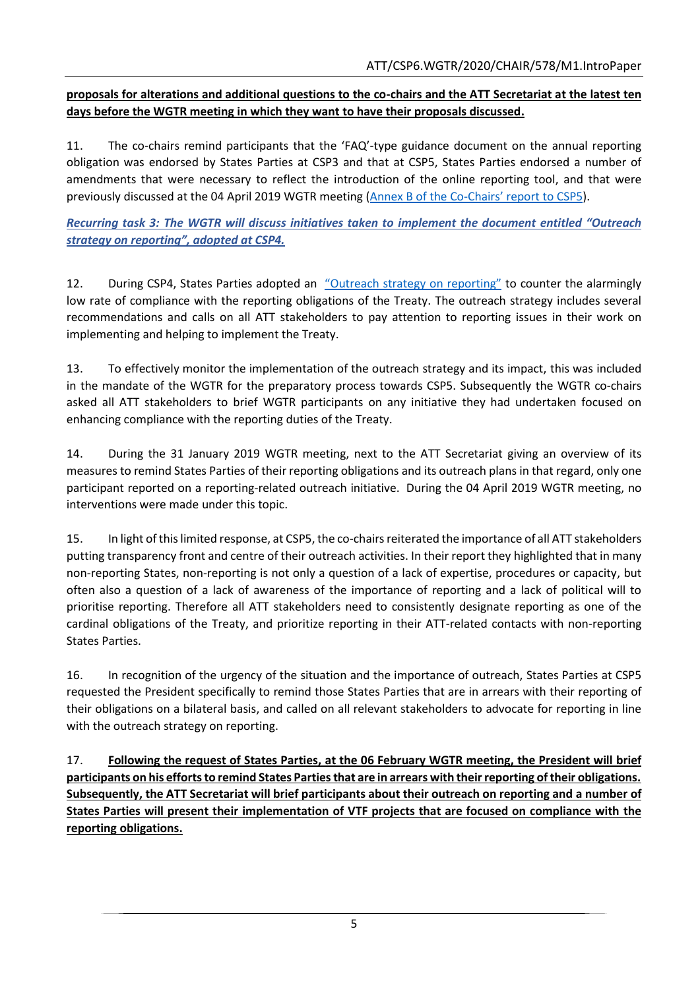## **proposals for alterations and additional questions to the co-chairs and the ATT Secretariat at the latest ten days before the WGTR meeting in which they want to have their proposals discussed.**

11. The co-chairs remind participants that the 'FAQ'-type guidance document on the annual reporting obligation was endorsed by States Parties at CSP3 and that at CSP5, States Parties endorsed a number of amendments that were necessary to reflect the introduction of the online reporting tool, and that were previously discussed at the 04 April 2019 WGTR meeting [\(Annex B of the Co-](https://thearmstradetreaty.org/hyper-images/file/ATT_WGTR_CSP5_Co-chair)Chairs' report to CSP5).

*Recurring task 3: The WGTR will discuss initiatives taken to implement the document entitled "Outreach strategy on reporting", adopted at CSP4.*

12. During CSP4, States Parties adopted an ["Outreach strategy on reporting"](https://thearmstradetreaty.org/hyper-images/file/ATT_CSP4_WGTR_Co-chairs_report__EN1/ATT_CSP4_WGTR_Co-chairs_report__EN.pdf) to counter the alarmingly low rate of compliance with the reporting obligations of the Treaty. The outreach strategy includes several recommendations and calls on all ATT stakeholders to pay attention to reporting issues in their work on implementing and helping to implement the Treaty.

13. To effectively monitor the implementation of the outreach strategy and its impact, this was included in the mandate of the WGTR for the preparatory process towards CSP5. Subsequently the WGTR co-chairs asked all ATT stakeholders to brief WGTR participants on any initiative they had undertaken focused on enhancing compliance with the reporting duties of the Treaty.

14. During the 31 January 2019 WGTR meeting, next to the ATT Secretariat giving an overview of its measures to remind States Parties of their reporting obligations and its outreach plans in that regard, only one participant reported on a reporting-related outreach initiative. During the 04 April 2019 WGTR meeting, no interventions were made under this topic.

15. In light of this limited response, at CSP5, the co-chairs reiterated the importance of all ATT stakeholders putting transparency front and centre of their outreach activities. In their report they highlighted that in many non-reporting States, non-reporting is not only a question of a lack of expertise, procedures or capacity, but often also a question of a lack of awareness of the importance of reporting and a lack of political will to prioritise reporting. Therefore all ATT stakeholders need to consistently designate reporting as one of the cardinal obligations of the Treaty, and prioritize reporting in their ATT-related contacts with non-reporting States Parties.

16. In recognition of the urgency of the situation and the importance of outreach, States Parties at CSP5 requested the President specifically to remind those States Parties that are in arrears with their reporting of their obligations on a bilateral basis, and called on all relevant stakeholders to advocate for reporting in line with the outreach strategy on reporting.

17. **Following the request of States Parties, at the 06 February WGTR meeting, the President will brief participants on his efforts to remind States Parties that are in arrears with their reporting of their obligations. Subsequently, the ATT Secretariat will brief participants about their outreach on reporting and a number of States Parties will present their implementation of VTF projects that are focused on compliance with the reporting obligations.**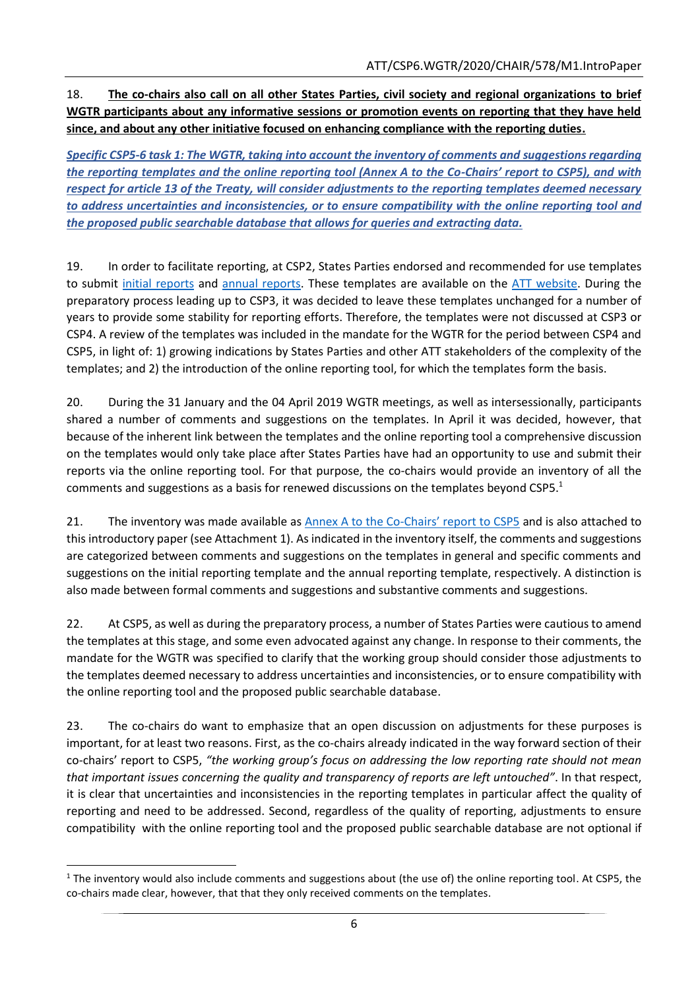18. **The co-chairs also call on all other States Parties, civil society and regional organizations to brief WGTR participants about any informative sessions or promotion events on reporting that they have held since, and about any other initiative focused on enhancing compliance with the reporting duties.**

*Specific CSP5-6 task 1: The WGTR, taking into account the inventory of comments and suggestions regarding the reporting templates and the online reporting tool (Annex A to the Co-Chairs' report to CSP5), and with respect for article 13 of the Treaty, will consider adjustments to the reporting templates deemed necessary to address uncertainties and inconsistencies, or to ensure compatibility with the online reporting tool and the proposed public searchable database that allows for queries and extracting data.*

19. In order to facilitate reporting, at CSP2, States Parties endorsed and recommended for use templates to submit [initial reports](https://thearmstradetreaty.org/hyper-images/file/Initial_Reporting_Template_English/Initial_Reporting_Template_English.doc?templateId=120953) and [annual reports.](https://thearmstradetreaty.org/hyper-images/file/Annual_Reporting_Template_English/Annual_Reporting_Template_English.doc?templateId=120958) These templates are available on the [ATT website.](https://thearmstradetreaty.org/reporting.html) During the preparatory process leading up to CSP3, it was decided to leave these templates unchanged for a number of years to provide some stability for reporting efforts. Therefore, the templates were not discussed at CSP3 or CSP4. A review of the templates was included in the mandate for the WGTR for the period between CSP4 and CSP5, in light of: 1) growing indications by States Parties and other ATT stakeholders of the complexity of the templates; and 2) the introduction of the online reporting tool, for which the templates form the basis.

20. During the 31 January and the 04 April 2019 WGTR meetings, as well as intersessionally, participants shared a number of comments and suggestions on the templates. In April it was decided, however, that because of the inherent link between the templates and the online reporting tool a comprehensive discussion on the templates would only take place after States Parties have had an opportunity to use and submit their reports via the online reporting tool. For that purpose, the co-chairs would provide an inventory of all the comments and suggestions as a basis for renewed discussions on the templates beyond CSP5.<sup>1</sup>

21. The inventory was made available as Annex A to the Co-[Chairs' report to CSP5](https://thearmstradetreaty.org/hyper-images/file/ATT_WGTR_CSP5_Co-chair) and is also attached to this introductory paper (see Attachment 1). As indicated in the inventory itself, the comments and suggestions are categorized between comments and suggestions on the templates in general and specific comments and suggestions on the initial reporting template and the annual reporting template, respectively. A distinction is also made between formal comments and suggestions and substantive comments and suggestions.

22. At CSP5, as well as during the preparatory process, a number of States Parties were cautious to amend the templates at this stage, and some even advocated against any change. In response to their comments, the mandate for the WGTR was specified to clarify that the working group should consider those adjustments to the templates deemed necessary to address uncertainties and inconsistencies, or to ensure compatibility with the online reporting tool and the proposed public searchable database.

23. The co-chairs do want to emphasize that an open discussion on adjustments for these purposes is important, for at least two reasons. First, as the co-chairs already indicated in the way forward section of their co-chairs' report to CSP5, *"the working group's focus on addressing the low reporting rate should not mean that important issues concerning the quality and transparency of reports are left untouched"*. In that respect, it is clear that uncertainties and inconsistencies in the reporting templates in particular affect the quality of reporting and need to be addressed. Second, regardless of the quality of reporting, adjustments to ensure compatibility with the online reporting tool and the proposed public searchable database are not optional if

**<sup>.</sup>**  $1$  The inventory would also include comments and suggestions about (the use of) the online reporting tool. At CSP5, the co-chairs made clear, however, that that they only received comments on the templates.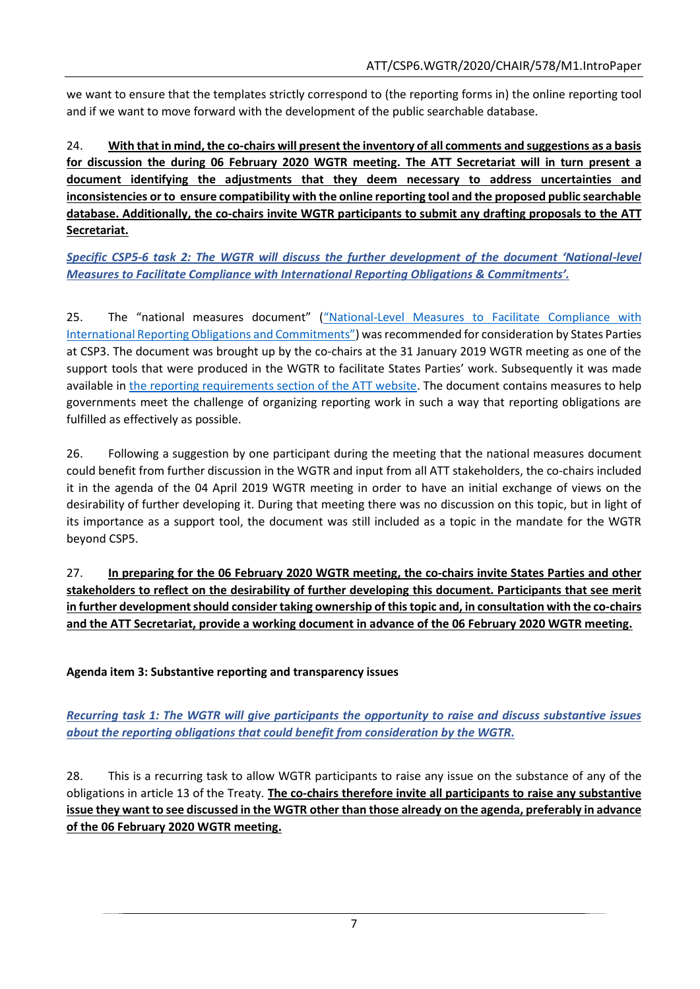we want to ensure that the templates strictly correspond to (the reporting forms in) the online reporting tool and if we want to move forward with the development of the public searchable database.

24. **With that in mind, the co-chairs will present the inventory of all comments and suggestions as a basis for discussion the during 06 February 2020 WGTR meeting. The ATT Secretariat will in turn present a document identifying the adjustments that they deem necessary to address uncertainties and inconsistencies or to ensure compatibility with the online reporting tool and the proposed public searchable database. Additionally, the co-chairs invite WGTR participants to submit any drafting proposals to the ATT Secretariat.**

*Specific CSP5-6 task 2: The WGTR will discuss the further development of the document 'National-level Measures to Facilitate Compliance with International Reporting Obligations & Commitments'.*

25. The "national measures document" ("National[-Level Measures to Facilitate Compliance with](https://thearmstradetreaty.org/hyper-images/file/WGTR_Draft_Report_to_CSP3_EN/WGTR_Draft_Report_to_CSP3_EN.pdf)  [International Reporting Obligations and Commitments"](https://thearmstradetreaty.org/hyper-images/file/WGTR_Draft_Report_to_CSP3_EN/WGTR_Draft_Report_to_CSP3_EN.pdf)) was recommended for consideration by States Parties at CSP3. The document was brought up by the co-chairs at the 31 January 2019 WGTR meeting as one of the support tools that were produced in the WGTR to facilitate States Parties' work. Subsequently it was made available in [the reporting requirements section of the ATT website.](https://thearmstradetreaty.org/reporting.html) The document contains measures to help governments meet the challenge of organizing reporting work in such a way that reporting obligations are fulfilled as effectively as possible.

26. Following a suggestion by one participant during the meeting that the national measures document could benefit from further discussion in the WGTR and input from all ATT stakeholders, the co-chairs included it in the agenda of the 04 April 2019 WGTR meeting in order to have an initial exchange of views on the desirability of further developing it. During that meeting there was no discussion on this topic, but in light of its importance as a support tool, the document was still included as a topic in the mandate for the WGTR beyond CSP5.

27. **In preparing for the 06 February 2020 WGTR meeting, the co-chairs invite States Parties and other stakeholders to reflect on the desirability of further developing this document. Participants that see merit in further development should consider taking ownership of thistopic and, in consultation with the co-chairs and the ATT Secretariat, provide a working document in advance of the 06 February 2020 WGTR meeting.**

**Agenda item 3: Substantive reporting and transparency issues**

*Recurring task 1: The WGTR will give participants the opportunity to raise and discuss substantive issues about the reporting obligations that could benefit from consideration by the WGTR.*

28. This is a recurring task to allow WGTR participants to raise any issue on the substance of any of the obligations in article 13 of the Treaty. **The co-chairs therefore invite all participants to raise any substantive issue they want to see discussed in the WGTR other than those already on the agenda, preferably in advance of the 06 February 2020 WGTR meeting.**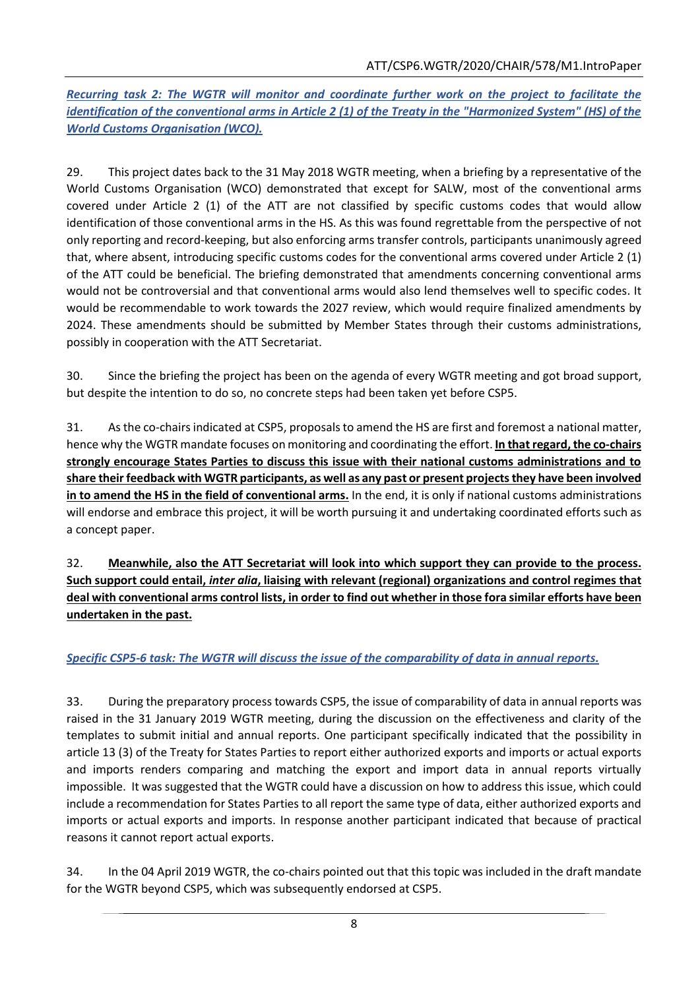*Recurring task 2: The WGTR will monitor and coordinate further work on the project to facilitate the identification of the conventional arms in Article 2 (1) of the Treaty in the "Harmonized System" (HS) of the World Customs Organisation (WCO).*

29. This project dates back to the 31 May 2018 WGTR meeting, when a briefing by a representative of the World Customs Organisation (WCO) demonstrated that except for SALW, most of the conventional arms covered under Article 2 (1) of the ATT are not classified by specific customs codes that would allow identification of those conventional arms in the HS. As this was found regrettable from the perspective of not only reporting and record-keeping, but also enforcing arms transfer controls, participants unanimously agreed that, where absent, introducing specific customs codes for the conventional arms covered under Article 2 (1) of the ATT could be beneficial. The briefing demonstrated that amendments concerning conventional arms would not be controversial and that conventional arms would also lend themselves well to specific codes. It would be recommendable to work towards the 2027 review, which would require finalized amendments by 2024. These amendments should be submitted by Member States through their customs administrations, possibly in cooperation with the ATT Secretariat.

30. Since the briefing the project has been on the agenda of every WGTR meeting and got broad support, but despite the intention to do so, no concrete steps had been taken yet before CSP5.

31. As the co-chairs indicated at CSP5, proposals to amend the HS are first and foremost a national matter, hence why the WGTR mandate focuses on monitoring and coordinating the effort. **In that regard, the co-chairs strongly encourage States Parties to discuss this issue with their national customs administrations and to share their feedback with WGTR participants, as well as any past or present projects they have been involved in to amend the HS in the field of conventional arms.** In the end, it is only if national customs administrations will endorse and embrace this project, it will be worth pursuing it and undertaking coordinated efforts such as a concept paper.

32. **Meanwhile, also the ATT Secretariat will look into which support they can provide to the process. Such support could entail,** *inter alia***, liaising with relevant (regional) organizations and control regimes that deal with conventional arms control lists, in order to find out whether in those fora similar efforts have been undertaken in the past.**

# *Specific CSP5-6 task: The WGTR will discuss the issue of the comparability of data in annual reports.*

33. During the preparatory process towards CSP5, the issue of comparability of data in annual reports was raised in the 31 January 2019 WGTR meeting, during the discussion on the effectiveness and clarity of the templates to submit initial and annual reports. One participant specifically indicated that the possibility in article 13 (3) of the Treaty for States Parties to report either authorized exports and imports or actual exports and imports renders comparing and matching the export and import data in annual reports virtually impossible. It was suggested that the WGTR could have a discussion on how to address this issue, which could include a recommendation for States Parties to all report the same type of data, either authorized exports and imports or actual exports and imports. In response another participant indicated that because of practical reasons it cannot report actual exports.

34. In the 04 April 2019 WGTR, the co-chairs pointed out that this topic was included in the draft mandate for the WGTR beyond CSP5, which was subsequently endorsed at CSP5.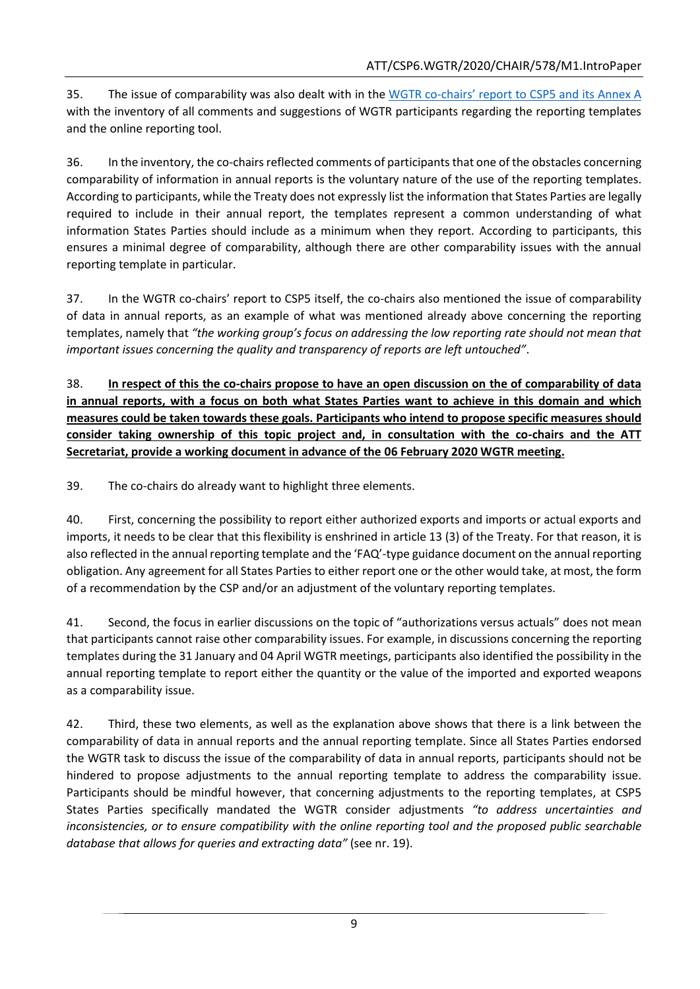35. The issue of comparability was also dealt with in the WGTR co-[chairs' report to CSP5 and its Annex A](https://thearmstradetreaty.org/hyper-images/file/ATT_WGTR_CSP5_Co-chair) with the inventory of all comments and suggestions of WGTR participants regarding the reporting templates and the online reporting tool.

36. In the inventory, the co-chairs reflected comments of participants that one of the obstacles concerning comparability of information in annual reports is the voluntary nature of the use of the reporting templates. According to participants, while the Treaty does not expressly list the information that States Parties are legally required to include in their annual report, the templates represent a common understanding of what information States Parties should include as a minimum when they report. According to participants, this ensures a minimal degree of comparability, although there are other comparability issues with the annual reporting template in particular.

37. In the WGTR co-chairs' report to CSP5 itself, the co-chairs also mentioned the issue of comparability of data in annual reports, as an example of what was mentioned already above concerning the reporting templates, namely that *"the working group's focus on addressing the low reporting rate should not mean that important issues concerning the quality and transparency of reports are left untouched"*.

38. **In respect of this the co-chairs propose to have an open discussion on the of comparability of data in annual reports, with a focus on both what States Parties want to achieve in this domain and which measures could be taken towards these goals. Participants who intend to propose specific measures should consider taking ownership of this topic project and, in consultation with the co-chairs and the ATT Secretariat, provide a working document in advance of the 06 February 2020 WGTR meeting.**

39. The co-chairs do already want to highlight three elements.

40. First, concerning the possibility to report either authorized exports and imports or actual exports and imports, it needs to be clear that this flexibility is enshrined in article 13 (3) of the Treaty. For that reason, it is also reflected in the annual reporting template and the 'FAQ'-type guidance document on the annual reporting obligation. Any agreement for all States Parties to either report one or the other would take, at most, the form of a recommendation by the CSP and/or an adjustment of the voluntary reporting templates.

41. Second, the focus in earlier discussions on the topic of "authorizations versus actuals" does not mean that participants cannot raise other comparability issues. For example, in discussions concerning the reporting templates during the 31 January and 04 April WGTR meetings, participants also identified the possibility in the annual reporting template to report either the quantity or the value of the imported and exported weapons as a comparability issue.

42. Third, these two elements, as well as the explanation above shows that there is a link between the comparability of data in annual reports and the annual reporting template. Since all States Parties endorsed the WGTR task to discuss the issue of the comparability of data in annual reports, participants should not be hindered to propose adjustments to the annual reporting template to address the comparability issue. Participants should be mindful however, that concerning adjustments to the reporting templates, at CSP5 States Parties specifically mandated the WGTR consider adjustments *"to address uncertainties and inconsistencies, or to ensure compatibility with the online reporting tool and the proposed public searchable database that allows for queries and extracting data"* (see nr. 19).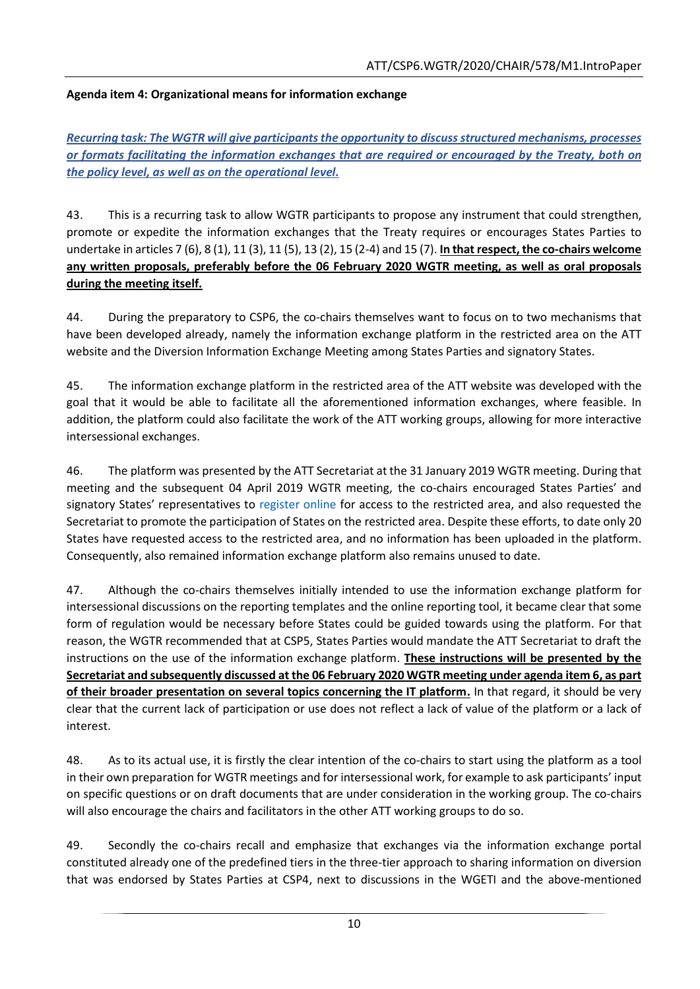## **Agenda item 4: Organizational means for information exchange**

*Recurring task: The WGTR will give participants the opportunity to discuss structured mechanisms, processes or formats facilitating the information exchanges that are required or encouraged by the Treaty, both on the policy level, as well as on the operational level.*

43. This is a recurring task to allow WGTR participants to propose any instrument that could strengthen, promote or expedite the information exchanges that the Treaty requires or encourages States Parties to undertake in articles 7 (6), 8 (1), 11 (3), 11 (5), 13 (2), 15 (2-4) and 15 (7). **In that respect, the co-chairs welcome any written proposals, preferably before the 06 February 2020 WGTR meeting, as well as oral proposals during the meeting itself.**

44. During the preparatory to CSP6, the co-chairs themselves want to focus on to two mechanisms that have been developed already, namely the information exchange platform in the restricted area on the ATT website and the Diversion Information Exchange Meeting among States Parties and signatory States.

45. The information exchange platform in the restricted area of the ATT website was developed with the goal that it would be able to facilitate all the aforementioned information exchanges, where feasible. In addition, the platform could also facilitate the work of the ATT working groups, allowing for more interactive intersessional exchanges.

46. The platform was presented by the ATT Secretariat at the 31 January 2019 WGTR meeting. During that meeting and the subsequent 04 April 2019 WGTR meeting, the co-chairs encouraged States Parties' and signatory States' representatives to [register online](https://www.thearmstradetreaty.org/registration-to-portal.html) for access to the restricted area, and also requested the Secretariat to promote the participation of States on the restricted area. Despite these efforts, to date only 20 States have requested access to the restricted area, and no information has been uploaded in the platform. Consequently, also remained information exchange platform also remains unused to date.

47. Although the co-chairs themselves initially intended to use the information exchange platform for intersessional discussions on the reporting templates and the online reporting tool, it became clear that some form of regulation would be necessary before States could be guided towards using the platform. For that reason, the WGTR recommended that at CSP5, States Parties would mandate the ATT Secretariat to draft the instructions on the use of the information exchange platform. **These instructions will be presented by the Secretariat and subsequently discussed at the 06 February 2020 WGTR meeting under agenda item 6, as part of their broader presentation on several topics concerning the IT platform.** In that regard, it should be very clear that the current lack of participation or use does not reflect a lack of value of the platform or a lack of interest.

48. As to its actual use, it is firstly the clear intention of the co-chairs to start using the platform as a tool in their own preparation for WGTR meetings and for intersessional work, for example to ask participants' input on specific questions or on draft documents that are under consideration in the working group. The co-chairs will also encourage the chairs and facilitators in the other ATT working groups to do so.

49. Secondly the co-chairs recall and emphasize that exchanges via the information exchange portal constituted already one of the predefined tiers in the three-tier approach to sharing information on diversion that was endorsed by States Parties at CSP4, next to discussions in the WGETI and the above-mentioned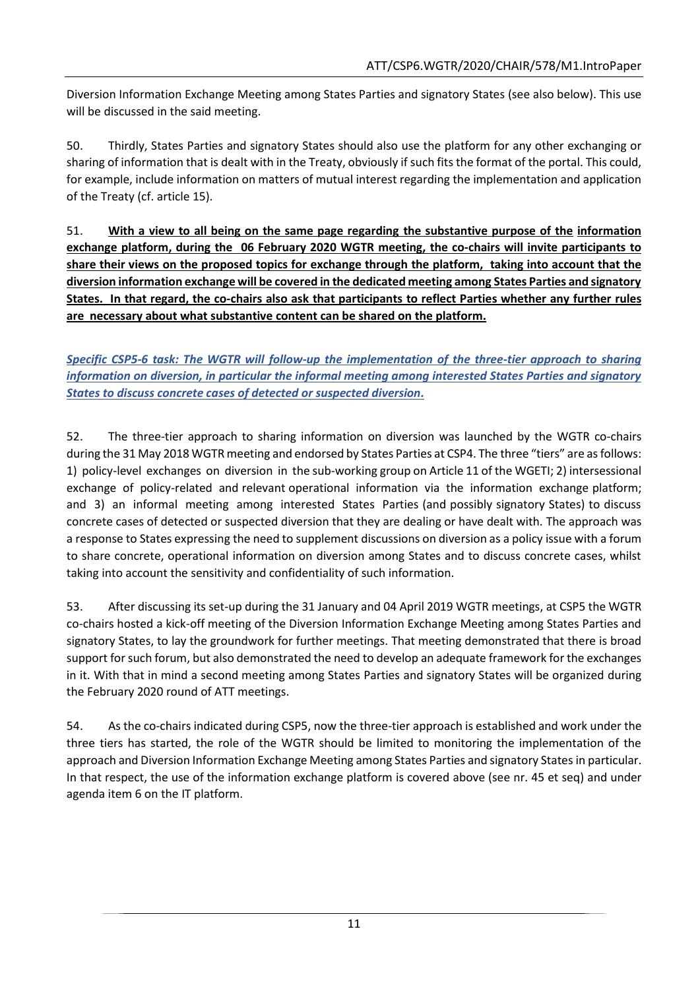Diversion Information Exchange Meeting among States Parties and signatory States (see also below). This use will be discussed in the said meeting.

50. Thirdly, States Parties and signatory States should also use the platform for any other exchanging or sharing of information that is dealt with in the Treaty, obviously if such fits the format of the portal. This could, for example, include information on matters of mutual interest regarding the implementation and application of the Treaty (cf. article 15).

51. **With a view to all being on the same page regarding the substantive purpose of the information exchange platform, during the 06 February 2020 WGTR meeting, the co-chairs will invite participants to share their views on the proposed topics for exchange through the platform, taking into account that the diversion information exchange will be covered in the dedicated meeting among States Parties and signatory States. In that regard, the co-chairs also ask that participants to reflect Parties whether any further rules are necessary about what substantive content can be shared on the platform.**

*Specific CSP5-6 task: The WGTR will follow-up the implementation of the three-tier approach to sharing information on diversion, in particular the informal meeting among interested States Parties and signatory States to discuss concrete cases of detected or suspected diversion.*

52. The three-tier approach to sharing information on diversion was launched by the WGTR co-chairs during the 31 May 2018 WGTR meeting and endorsed by States Parties at CSP4. The three "tiers" are as follows: 1) policy-level exchanges on diversion in the sub-working group on Article 11 of the WGETI; 2) intersessional exchange of policy-related and relevant operational information via the information exchange platform; and 3) an informal meeting among interested States Parties (and possibly signatory States) to discuss concrete cases of detected or suspected diversion that they are dealing or have dealt with. The approach was a response to States expressing the need to supplement discussions on diversion as a policy issue with a forum to share concrete, operational information on diversion among States and to discuss concrete cases, whilst taking into account the sensitivity and confidentiality of such information.

53. After discussing its set-up during the 31 January and 04 April 2019 WGTR meetings, at CSP5 the WGTR co-chairs hosted a kick-off meeting of the Diversion Information Exchange Meeting among States Parties and signatory States, to lay the groundwork for further meetings. That meeting demonstrated that there is broad support for such forum, but also demonstrated the need to develop an adequate framework for the exchanges in it. With that in mind a second meeting among States Parties and signatory States will be organized during the February 2020 round of ATT meetings.

54. As the co-chairs indicated during CSP5, now the three-tier approach is established and work under the three tiers has started, the role of the WGTR should be limited to monitoring the implementation of the approach and Diversion Information Exchange Meeting among States Parties and signatory States in particular. In that respect, the use of the information exchange platform is covered above (see nr. 45 et seq) and under agenda item 6 on the IT platform.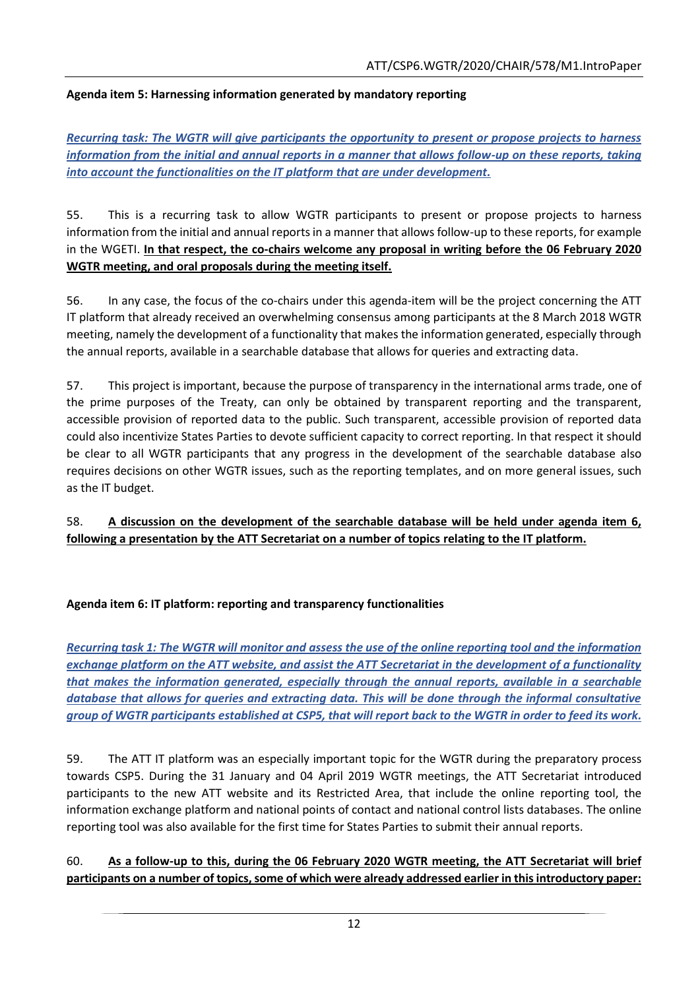## **Agenda item 5: Harnessing information generated by mandatory reporting**

*Recurring task: The WGTR will give participants the opportunity to present or propose projects to harness information from the initial and annual reports in a manner that allows follow-up on these reports, taking into account the functionalities on the IT platform that are under development.*

55. This is a recurring task to allow WGTR participants to present or propose projects to harness information from the initial and annual reports in a manner that allows follow-up to these reports, for example in the WGETI. **In that respect, the co-chairs welcome any proposal in writing before the 06 February 2020 WGTR meeting, and oral proposals during the meeting itself.**

56. In any case, the focus of the co-chairs under this agenda-item will be the project concerning the ATT IT platform that already received an overwhelming consensus among participants at the 8 March 2018 WGTR meeting, namely the development of a functionality that makes the information generated, especially through the annual reports, available in a searchable database that allows for queries and extracting data.

57. This project is important, because the purpose of transparency in the international arms trade, one of the prime purposes of the Treaty, can only be obtained by transparent reporting and the transparent, accessible provision of reported data to the public. Such transparent, accessible provision of reported data could also incentivize States Parties to devote sufficient capacity to correct reporting. In that respect it should be clear to all WGTR participants that any progress in the development of the searchable database also requires decisions on other WGTR issues, such as the reporting templates, and on more general issues, such as the IT budget.

## 58. **A discussion on the development of the searchable database will be held under agenda item 6, following a presentation by the ATT Secretariat on a number of topics relating to the IT platform.**

#### **Agenda item 6: IT platform: reporting and transparency functionalities**

*Recurring task 1: The WGTR will monitor and assess the use of the online reporting tool and the information exchange platform on the ATT website, and assist the ATT Secretariat in the development of a functionality that makes the information generated, especially through the annual reports, available in a searchable database that allows for queries and extracting data. This will be done through the informal consultative group of WGTR participants established at CSP5, that will report back to the WGTR in order to feed its work.*

59. The ATT IT platform was an especially important topic for the WGTR during the preparatory process towards CSP5. During the 31 January and 04 April 2019 WGTR meetings, the ATT Secretariat introduced participants to the new ATT website and its Restricted Area, that include the online reporting tool, the information exchange platform and national points of contact and national control lists databases. The online reporting tool was also available for the first time for States Parties to submit their annual reports.

## 60. **As a follow-up to this, during the 06 February 2020 WGTR meeting, the ATT Secretariat will brief participants on a number of topics, some of which were already addressed earlier in this introductory paper:**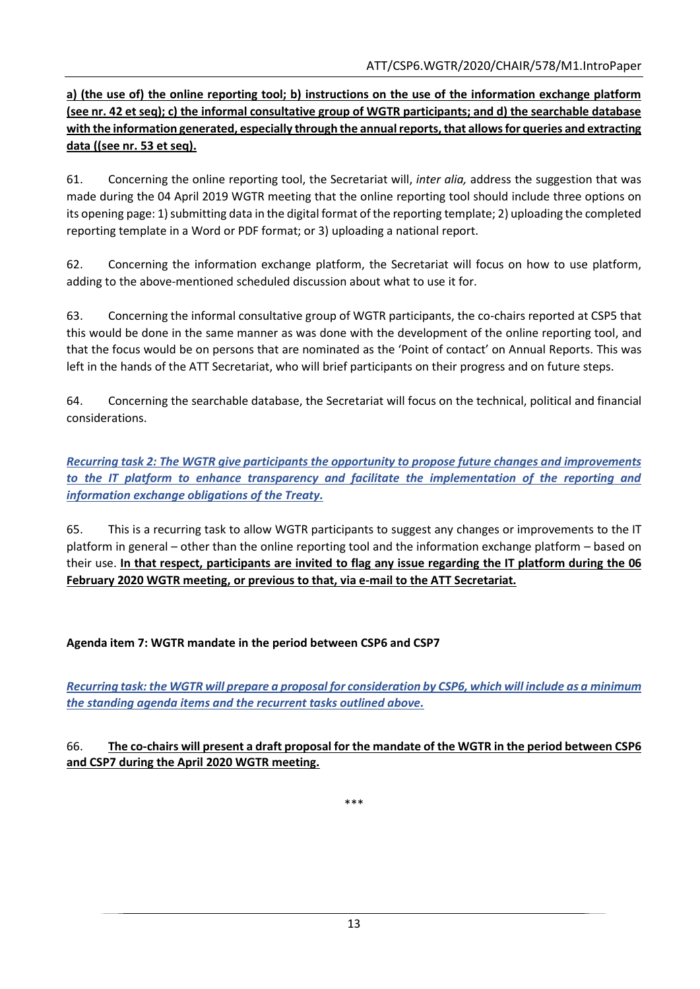**a) (the use of) the online reporting tool; b) instructions on the use of the information exchange platform (see nr. 42 et seq); c) the informal consultative group of WGTR participants; and d) the searchable database with the information generated, especially through the annual reports, that allows for queries and extracting data ((see nr. 53 et seq).**

61. Concerning the online reporting tool, the Secretariat will, *inter alia,* address the suggestion that was made during the 04 April 2019 WGTR meeting that the online reporting tool should include three options on its opening page: 1) submitting data in the digital format of the reporting template; 2) uploading the completed reporting template in a Word or PDF format; or 3) uploading a national report.

62. Concerning the information exchange platform, the Secretariat will focus on how to use platform, adding to the above-mentioned scheduled discussion about what to use it for.

63. Concerning the informal consultative group of WGTR participants, the co-chairs reported at CSP5 that this would be done in the same manner as was done with the development of the online reporting tool, and that the focus would be on persons that are nominated as the 'Point of contact' on Annual Reports. This was left in the hands of the ATT Secretariat, who will brief participants on their progress and on future steps.

64. Concerning the searchable database, the Secretariat will focus on the technical, political and financial considerations.

*Recurring task 2: The WGTR give participants the opportunity to propose future changes and improvements to the IT platform to enhance transparency and facilitate the implementation of the reporting and information exchange obligations of the Treaty.*

65. This is a recurring task to allow WGTR participants to suggest any changes or improvements to the IT platform in general – other than the online reporting tool and the information exchange platform – based on their use. **In that respect, participants are invited to flag any issue regarding the IT platform during the 06 February 2020 WGTR meeting, or previous to that, via e-mail to the ATT Secretariat.**

# **Agenda item 7: WGTR mandate in the period between CSP6 and CSP7**

*Recurring task: the WGTR will prepare a proposal for consideration by CSP6, which will include as a minimum the standing agenda items and the recurrent tasks outlined above.*

#### 66. **The co-chairs will present a draft proposal for the mandate of the WGTR in the period between CSP6 and CSP7 during the April 2020 WGTR meeting.**

\*\*\*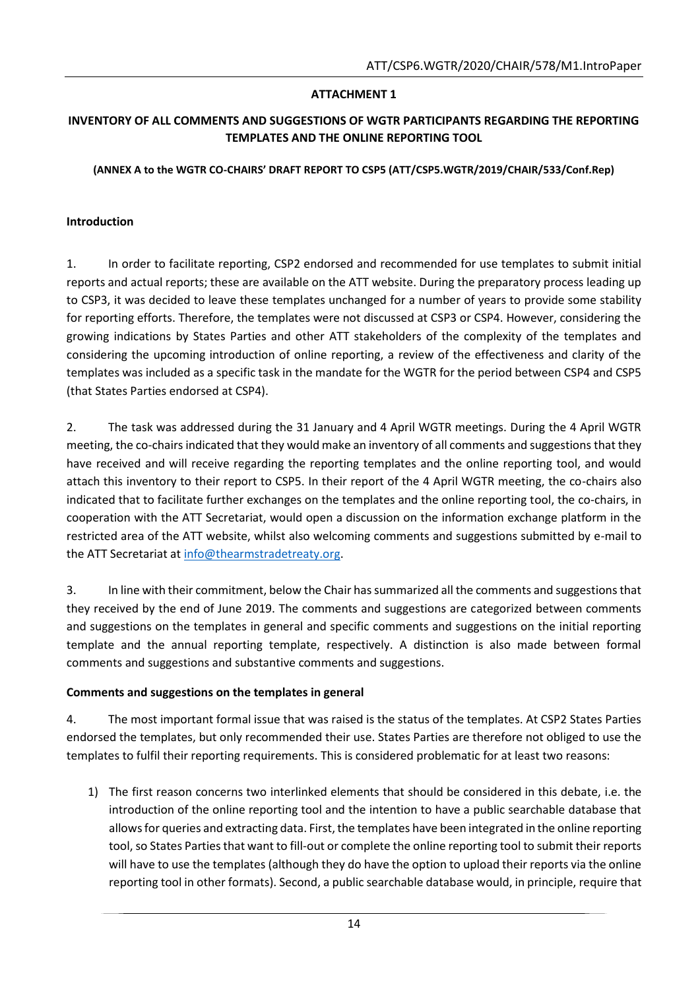## **ATTACHMENT 1**

### **INVENTORY OF ALL COMMENTS AND SUGGESTIONS OF WGTR PARTICIPANTS REGARDING THE REPORTING TEMPLATES AND THE ONLINE REPORTING TOOL**

#### **(ANNEX A to the WGTR CO-CHAIRS' DRAFT REPORT TO CSP5 (ATT/CSP5.WGTR/2019/CHAIR/533/Conf.Rep)**

#### **Introduction**

1. In order to facilitate reporting, CSP2 endorsed and recommended for use templates to submit initial reports and actual reports; these are available on the ATT website. During the preparatory process leading up to CSP3, it was decided to leave these templates unchanged for a number of years to provide some stability for reporting efforts. Therefore, the templates were not discussed at CSP3 or CSP4. However, considering the growing indications by States Parties and other ATT stakeholders of the complexity of the templates and considering the upcoming introduction of online reporting, a review of the effectiveness and clarity of the templates was included as a specific task in the mandate for the WGTR for the period between CSP4 and CSP5 (that States Parties endorsed at CSP4).

2. The task was addressed during the 31 January and 4 April WGTR meetings. During the 4 April WGTR meeting, the co-chairs indicated that they would make an inventory of all comments and suggestions that they have received and will receive regarding the reporting templates and the online reporting tool, and would attach this inventory to their report to CSP5. In their report of the 4 April WGTR meeting, the co-chairs also indicated that to facilitate further exchanges on the templates and the online reporting tool, the co-chairs, in cooperation with the ATT Secretariat, would open a discussion on the information exchange platform in the restricted area of the ATT website, whilst also welcoming comments and suggestions submitted by e-mail to the ATT Secretariat at [info@thearmstradetreaty.org.](mailto:info@thearmstradetreaty.org)

3. In line with their commitment, below the Chair has summarized all the comments and suggestions that they received by the end of June 2019. The comments and suggestions are categorized between comments and suggestions on the templates in general and specific comments and suggestions on the initial reporting template and the annual reporting template, respectively. A distinction is also made between formal comments and suggestions and substantive comments and suggestions.

#### **Comments and suggestions on the templates in general**

4. The most important formal issue that was raised is the status of the templates. At CSP2 States Parties endorsed the templates, but only recommended their use. States Parties are therefore not obliged to use the templates to fulfil their reporting requirements. This is considered problematic for at least two reasons:

1) The first reason concerns two interlinked elements that should be considered in this debate, i.e. the introduction of the online reporting tool and the intention to have a public searchable database that allows for queries and extracting data. First, the templates have been integrated in the online reporting tool, so States Parties that want to fill-out or complete the online reporting tool to submit their reports will have to use the templates (although they do have the option to upload their reports via the online reporting tool in other formats). Second, a public searchable database would, in principle, require that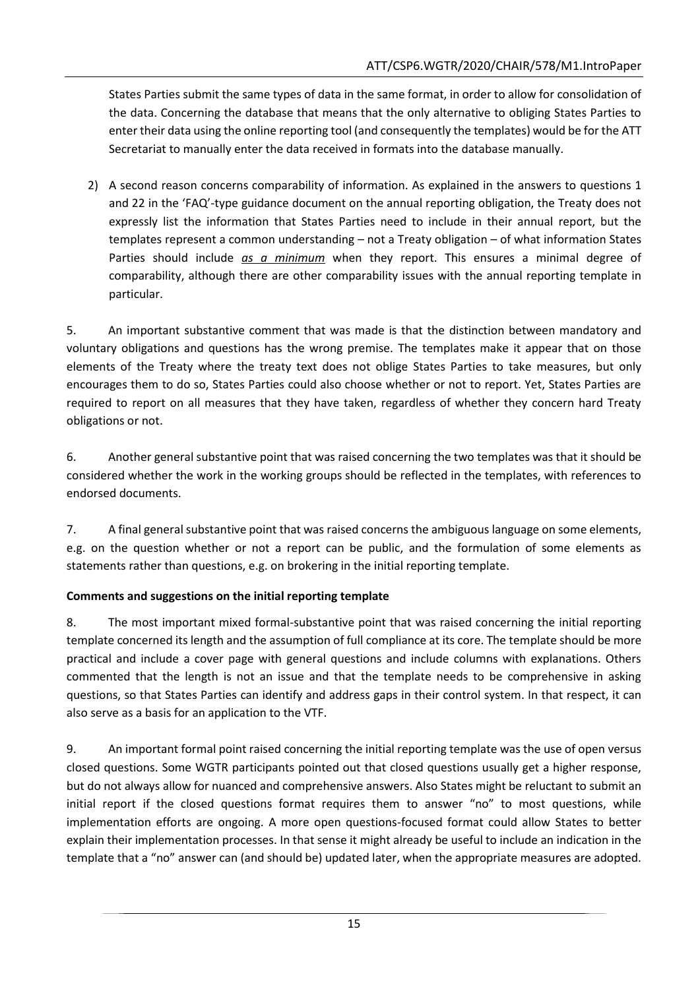States Parties submit the same types of data in the same format, in order to allow for consolidation of the data. Concerning the database that means that the only alternative to obliging States Parties to enter their data using the online reporting tool (and consequently the templates) would be for the ATT Secretariat to manually enter the data received in formats into the database manually.

2) A second reason concerns comparability of information. As explained in the answers to questions 1 and 22 in the 'FAQ'-type guidance document on the annual reporting obligation, the Treaty does not expressly list the information that States Parties need to include in their annual report, but the templates represent a common understanding – not a Treaty obligation – of what information States Parties should include *as a minimum* when they report. This ensures a minimal degree of comparability, although there are other comparability issues with the annual reporting template in particular.

5. An important substantive comment that was made is that the distinction between mandatory and voluntary obligations and questions has the wrong premise. The templates make it appear that on those elements of the Treaty where the treaty text does not oblige States Parties to take measures, but only encourages them to do so, States Parties could also choose whether or not to report. Yet, States Parties are required to report on all measures that they have taken, regardless of whether they concern hard Treaty obligations or not.

6. Another general substantive point that was raised concerning the two templates was that it should be considered whether the work in the working groups should be reflected in the templates, with references to endorsed documents.

7. A final general substantive point that was raised concerns the ambiguous language on some elements, e.g. on the question whether or not a report can be public, and the formulation of some elements as statements rather than questions, e.g. on brokering in the initial reporting template.

# **Comments and suggestions on the initial reporting template**

8. The most important mixed formal-substantive point that was raised concerning the initial reporting template concerned its length and the assumption of full compliance at its core. The template should be more practical and include a cover page with general questions and include columns with explanations. Others commented that the length is not an issue and that the template needs to be comprehensive in asking questions, so that States Parties can identify and address gaps in their control system. In that respect, it can also serve as a basis for an application to the VTF.

9. An important formal point raised concerning the initial reporting template was the use of open versus closed questions. Some WGTR participants pointed out that closed questions usually get a higher response, but do not always allow for nuanced and comprehensive answers. Also States might be reluctant to submit an initial report if the closed questions format requires them to answer "no" to most questions, while implementation efforts are ongoing. A more open questions-focused format could allow States to better explain their implementation processes. In that sense it might already be useful to include an indication in the template that a "no" answer can (and should be) updated later, when the appropriate measures are adopted.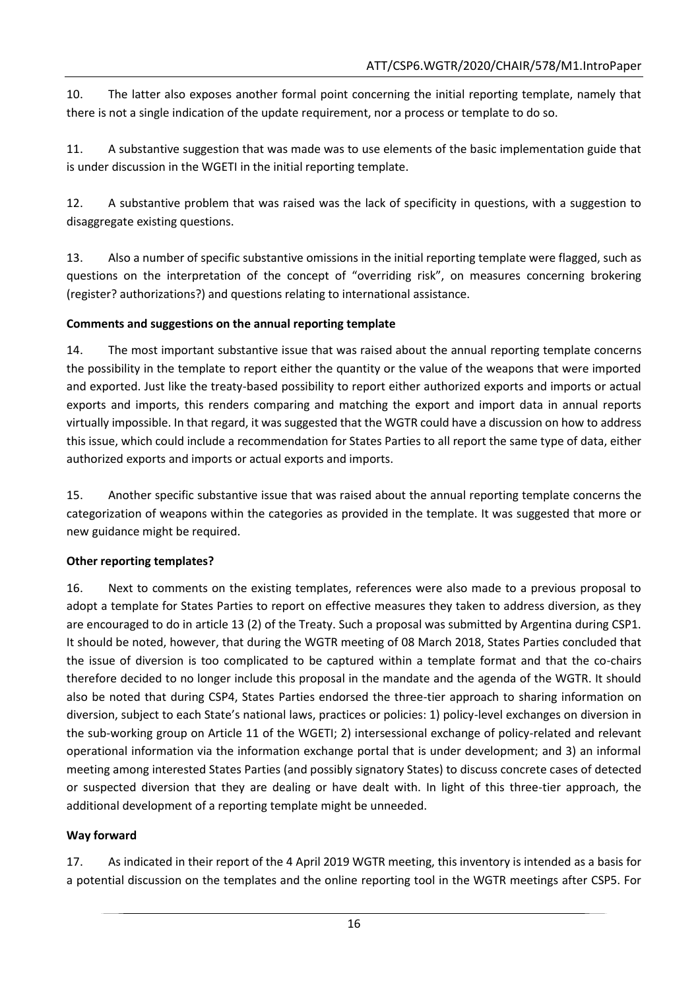10. The latter also exposes another formal point concerning the initial reporting template, namely that there is not a single indication of the update requirement, nor a process or template to do so.

11. A substantive suggestion that was made was to use elements of the basic implementation guide that is under discussion in the WGETI in the initial reporting template.

12. A substantive problem that was raised was the lack of specificity in questions, with a suggestion to disaggregate existing questions.

13. Also a number of specific substantive omissions in the initial reporting template were flagged, such as questions on the interpretation of the concept of "overriding risk", on measures concerning brokering (register? authorizations?) and questions relating to international assistance.

## **Comments and suggestions on the annual reporting template**

14. The most important substantive issue that was raised about the annual reporting template concerns the possibility in the template to report either the quantity or the value of the weapons that were imported and exported. Just like the treaty-based possibility to report either authorized exports and imports or actual exports and imports, this renders comparing and matching the export and import data in annual reports virtually impossible. In that regard, it was suggested that the WGTR could have a discussion on how to address this issue, which could include a recommendation for States Parties to all report the same type of data, either authorized exports and imports or actual exports and imports.

15. Another specific substantive issue that was raised about the annual reporting template concerns the categorization of weapons within the categories as provided in the template. It was suggested that more or new guidance might be required.

#### **Other reporting templates?**

16. Next to comments on the existing templates, references were also made to a previous proposal to adopt a template for States Parties to report on effective measures they taken to address diversion, as they are encouraged to do in article 13 (2) of the Treaty. Such a proposal was submitted by Argentina during CSP1. It should be noted, however, that during the WGTR meeting of 08 March 2018, States Parties concluded that the issue of diversion is too complicated to be captured within a template format and that the co-chairs therefore decided to no longer include this proposal in the mandate and the agenda of the WGTR. It should also be noted that during CSP4, States Parties endorsed the three-tier approach to sharing information on diversion, subject to each State's national laws, practices or policies: 1) policy-level exchanges on diversion in the sub-working group on Article 11 of the WGETI; 2) intersessional exchange of policy-related and relevant operational information via the information exchange portal that is under development; and 3) an informal meeting among interested States Parties (and possibly signatory States) to discuss concrete cases of detected or suspected diversion that they are dealing or have dealt with. In light of this three-tier approach, the additional development of a reporting template might be unneeded.

# **Way forward**

17. As indicated in their report of the 4 April 2019 WGTR meeting, this inventory is intended as a basis for a potential discussion on the templates and the online reporting tool in the WGTR meetings after CSP5. For